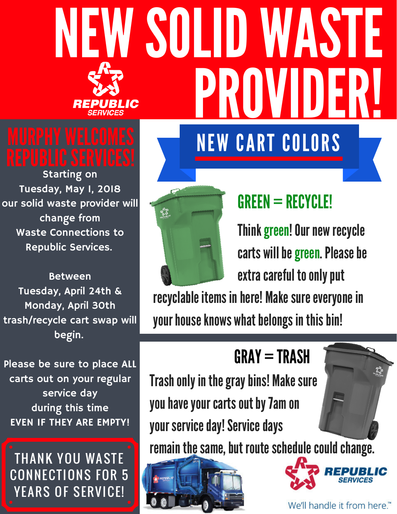# NEW SOLID WASTE **PRIN** IC NEW CART COLORS

Starting on Tuesday, May 1, 2018 our solid waste provider will change from Waste Connections to Republic Services.

Between Tuesday, April 24th & Monday, April 30th trash/recycle cart swap will begin.

Please be sure to place ALL carts out on your regular service day during this time EVEN IF THEY ARE EMPTY!

**THANK YOU WASTE CONNECTIONS FOR 5** YEARS OF SERVICE!



## GREEN = RECYCLE!

Think green! Our new recycle carts will be green. Please be extra careful to only put

recyclable items in here! Make sure everyone in your house knows what belongs in this bin!

## $GRAY = TRASH$

Trash only in the gray bins! Make sure you have your carts out by 7am on your service day! Service days

remain the same, but route schedule could change.





We'll handle it from here.™